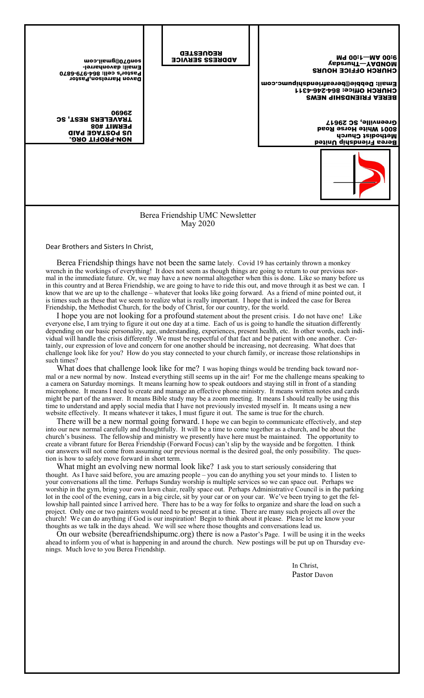| <b>EODLO@Qmail.com</b><br><b>Email: davonharrel-</b><br>Pastor's cell: 864-979-6870<br>Davon Harrelson, Pastor<br>0696Z<br><b>JRAVELERS REST, SC</b><br><b>PERMIT #08</b><br><b>GIAG BOATZOG SU</b><br><b>NON-PROFIT ORG.</b> |  | <b>REQUESTED</b><br><b>ADDRESS SERVICE</b> | M9 00:1-MA 00:6<br>VebenunT-YAQNOM<br><b>CHURCH OFFICE HOURS</b><br>Email: Debbie@bereafriendshipumc.com<br>  СНИВСН ОНІсе: 864-246-4311<br><b>BEREA FRIENDSHIP NEWS</b><br>Greenville, SC 29617<br><b>S001 White Horse Road</b><br>Methodist Church<br>Berea Friendship United |  |  |
|-------------------------------------------------------------------------------------------------------------------------------------------------------------------------------------------------------------------------------|--|--------------------------------------------|---------------------------------------------------------------------------------------------------------------------------------------------------------------------------------------------------------------------------------------------------------------------------------|--|--|
| Berea Friendship UMC Newsletter<br><b>May 2020</b>                                                                                                                                                                            |  |                                            |                                                                                                                                                                                                                                                                                 |  |  |

Dear Brothers and Sisters In Christ,

Berea Friendship things have not been the same lately. Covid 19 has certainly thrown a monkey wrench in the workings of everything! It does not seem as though things are going to return to our previous normal in the immediate future. Or, we may have a new normal altogether when this is done. Like so many before us in this country and at Berea Friendship, we are going to have to ride this out, and move through it as best we can. I know that we are up to the challenge – whatever that looks like going forward. As a friend of mine pointed out, it is times such as these that we seem to realize what is really important. I hope that is indeed the case for Berea Friendship, the Methodist Church, for the body of Christ, for our country, for the world.

I hope you are not looking for a profound statement about the present crisis. I do not have one! Like everyone else, I am trying to figure it out one day at a time. Each of us is going to handle the situation differently depending on our basic personality, age, understanding, experiences, present health, etc. In other words, each individual will handle the crisis differently .We must be respectful of that fact and be patient with one another. Certainly, our expression of love and concern for one another should be increasing, not decreasing. What does that challenge look like for you? How do you stay connected to your church family, or increase those relationships in such times?

What does that challenge look like for me? I was hoping things would be trending back toward normal or a new normal by now. Instead everything still seems up in the air! For me the challenge means speaking to a camera on Saturday mornings. It means learning how to speak outdoors and staying still in front of a standing microphone. It means I need to create and manage an effective phone ministry. It means written notes and cards might be part of the answer. It means Bible study may be a zoom meeting. It means I should really be using this time to understand and apply social media that I have not previously invested myself in. It means using a new website effectively. It means whatever it takes, I must figure it out. The same is true for the church.

There will be a new normal going forward. I hope we can begin to communicate effectively, and step into our new normal carefully and thoughtfully. It will be a time to come together as a church, and be about the church's business. The fellowship and ministry we presently have here must be maintained. The opportunity to create a vibrant future for Berea Friendship (Forward Focus) can't slip by the wayside and be forgotten. I think our answers will not come from assuming our previous normal is the desired goal, the only possibility. The question is how to safely move forward in short term.

What might an evolving new normal look like? I ask you to start seriously considering that thought. As I have said before, you are amazing people – you can do anything you set your minds to. I listen to your conversations all the time. Perhaps Sunday worship is multiple services so we can space out. Perhaps we worship in the gym, bring your own lawn chair, really space out. Perhaps Administrative Council is in the parking lot in the cool of the evening, cars in a big circle, sit by your car or on your car. We've been trying to get the fellowship hall painted since I arrived here. There has to be a way for folks to organize and share the load on such a project. Only one or two painters would need to be present at a time. There are many such projects all over the church! We can do anything if God is our inspiration! Begin to think about it please. Please let me know your thoughts as we talk in the days ahead. We will see where those thoughts and conversations lead us.

On our website (bereafriendshipumc.org) there is now a Pastor's Page. I will be using it in the weeks ahead to inform you of what is happening in and around the church. New postings will be put up on Thursday evenings. Much love to you Berea Friendship.

 In Christ, Pastor Davon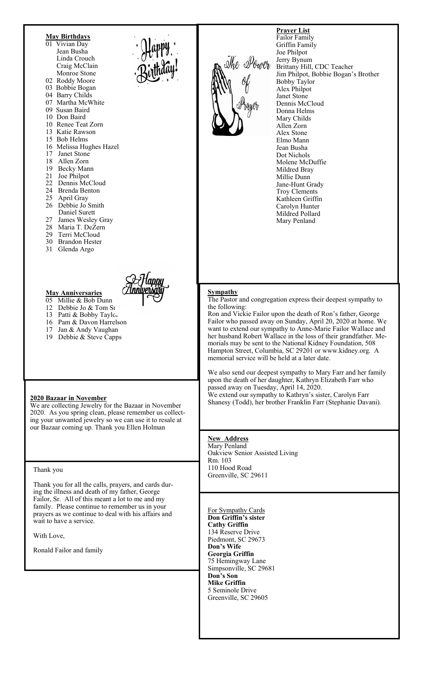

- 05 Millie & Bob Dunn
- 12 Debbie Jo  $&$  Tom St 13 Patti & Bobby Taylor

**May Anniversaries** 

- 16 Pam & Davon Harrelson
- 17 Jan & Andy Vaughan
- 19 Debbie & Steve Capps

#### **2020 Bazaar in November**

We are collecting Jewelry for the Bazaar in November 2020. As you spring clean, please remember us collecting your unwanted jewelry so we can use it to resale at our Bazaar coming up. Thank you Ellen Holman

#### Thank you

Thank you for all the calls, prayers, and cards during the illness and death of my father, George Failor, Sr. All of this meant a lot to me and my family. Please continue to remember us in your prayers as we continue to deal with his affairs and wait to have a service.

With Love,

Ronald Failor and family



**Prayer List**  Failor Family Griffin Family Joe Philpot Jerry Bynum Brittany Hill, CDC Teacher Jim Philpot, Bobbie Bogan's Brother Bobby Taylor Alex Philpot Janet Stone Dennis McCloud Donna Helms Mary Childs Allen Zorn Alex Stone Elmo Mann Jean Busha Dot Nichols Molene McDuffie Mildred Bray Millie Dunn Jane-Hunt Grady Troy Clements Kathleen Griffin Carolyn Hunter Mildred Pollard Mary Penland

#### **Sympathy**

The Pastor and congregation express their deepest sympathy to the following:

Ron and Vickie Failor upon the death of Ron's father, George Failor who passed away on Sunday, April 20, 2020 at home. We want to extend our sympathy to Anne-Marie Failor Wallace and her husband Robert Wallace in the loss of their grandfather. Memorials may be sent to the National Kidney Foundation, 508 Hampton Street, Columbia, SC 29201 or www.kidney.org. A memorial service will be held at a later date.

We also send our deepest sympathy to Mary Farr and her family upon the death of her daughter, Kathryn Elizabeth Farr who passed away on Tuesday, April 14, 2020. We extend our sympathy to Kathryn's sister, Carolyn Farr Shanesy (Todd), her brother Franklin Farr (Stephanie Davani).

**New Address**  Mary Penland Oakview Senior Assisted Living Rm. 103 110 Hood Road Greenville, SC 29611

For Sympathy Cards **Don Griffin's sister Cathy Griffin**  134 Reserve Drive Piedmont, SC 29673 **Don's Wife Georgia Griffin**  75 Hemingway Lane Simpsonville, SC 29681 **Don's Son Mike Griffin**  5 Seminole Drive Greenville, SC 29605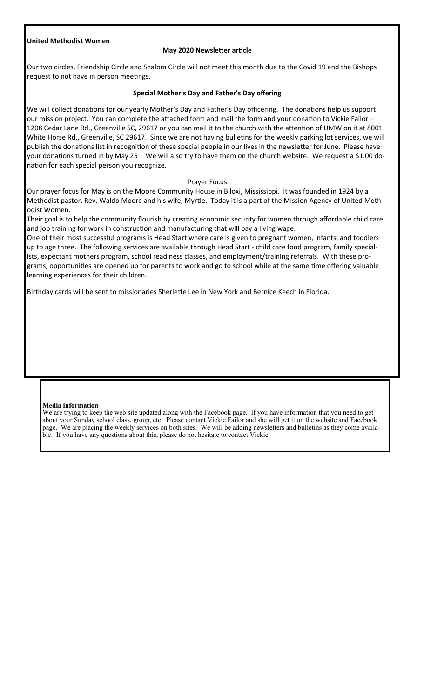## **United Methodist Women**

## **May 2020 Newsletter article**

Our two circles, Friendship Circle and Shalom Circle will not meet this month due to the Covid 19 and the Bishops request to not have in person meetings.

### **Special Mother's Day and Father's Day offering**

We will collect donations for our yearly Mother's Day and Father's Day officering. The donations help us support our mission project. You can complete the attached form and mail the form and your donation to Vickie Failor -1208 Cedar Lane Rd., Greenville SC, 29617 or you can mail it to the church with the attention of UMW on it at 8001 White Horse Rd., Greenville, SC 29617. Since we are not having bulletins for the weekly parking lot services, we will publish the donations list in recognition of these special people in our lives in the newsletter for June. Please have your donations turned in by May 25<sup>th</sup>. We will also try to have them on the church website. We request a \$1.00 donation for each special person you recognize.

#### Prayer Focus

Our prayer focus for May is on the Moore Community House in Biloxi, Mississippi. It was founded in 1924 by a Methodist pastor, Rev. Waldo Moore and his wife, Myrtie. Today it is a part of the Mission Agency of United Methodist Women.

Their goal is to help the community flourish by creating economic security for women through affordable child care and job training for work in construction and manufacturing that will pay a living wage.

One of their most successful programs is Head Start where care is given to pregnant women, infants, and toddlers up to age three. The following services are available through Head Start - child care food program, family specialists, expectant mothers program, school readiness classes, and employment/training referrals. With these programs, opportunities are opened up for parents to work and go to school while at the same time offering valuable learning experiences for their children.

Birthday cards will be sent to missionaries Sherlette Lee in New York and Bernice Keech in Florida.

#### **Media information**

We are trying to keep the web site updated along with the Facebook page. If you have information that you need to get about your Sunday school class, group, etc. Please contact Vickie Failor and she will get it on the website and Facebook We are placing the weekly services on both sites. We will be adding newsletters and bulletins as they come availapage. We are placing the weekly services on both sites. We will be adding in the ble. If you have any questions about this, please do not hesitate to contact Vickie.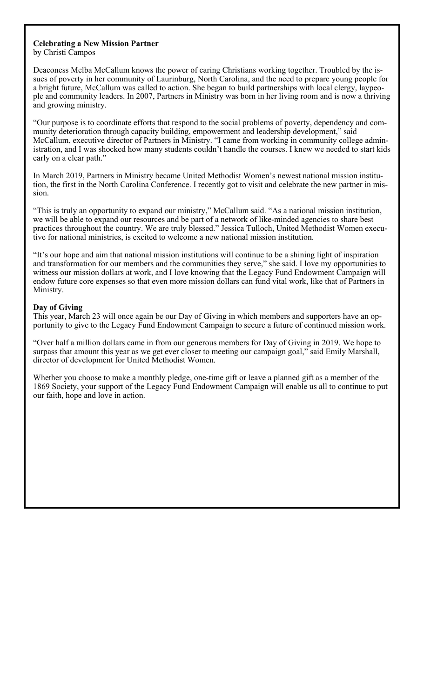# **Celebrating a New Mission Partner**

by Christi Campos

Deaconess Melba McCallum knows the power of caring Christians working together. Troubled by the issues of poverty in her community of Laurinburg, North Carolina, and the need to prepare young people for a bright future, McCallum was called to action. She began to build partnerships with local clergy, laypeople and community leaders. In 2007, Partners in Ministry was born in her living room and is now a thriving and growing ministry.

"Our purpose is to coordinate efforts that respond to the social problems of poverty, dependency and community deterioration through capacity building, empowerment and leadership development," said McCallum, executive director of Partners in Ministry. "I came from working in community college administration, and I was shocked how many students couldn't handle the courses. I knew we needed to start kids early on a clear path."

In March 2019, Partners in Ministry became United Methodist Women's newest national mission institution, the first in the North Carolina Conference. I recently got to visit and celebrate the new partner in mission.

"This is truly an opportunity to expand our ministry," McCallum said. "As a national mission institution, we will be able to expand our resources and be part of a network of like-minded agencies to share best practices throughout the country. We are truly blessed." Jessica Tulloch, United Methodist Women executive for national ministries, is excited to welcome a new national mission institution.

"It's our hope and aim that national mission institutions will continue to be a shining light of inspiration and transformation for our members and the communities they serve," she said. I love my opportunities to witness our mission dollars at work, and I love knowing that the Legacy Fund Endowment Campaign will endow future core expenses so that even more mission dollars can fund vital work, like that of Partners in Ministry.

## **Day of Giving**

This year, March 23 will once again be our Day of Giving in which members and supporters have an opportunity to give to the Legacy Fund Endowment Campaign to secure a future of continued mission work.

"Over half a million dollars came in from our generous members for Day of Giving in 2019. We hope to surpass that amount this year as we get ever closer to meeting our campaign goal," said Emily Marshall, director of development for United Methodist Women.

Whether you choose to make a monthly pledge, one-time gift or leave a planned gift as a member of the 1869 Society, your support of the Legacy Fund Endowment Campaign will enable us all to continue to put our faith, hope and love in action.